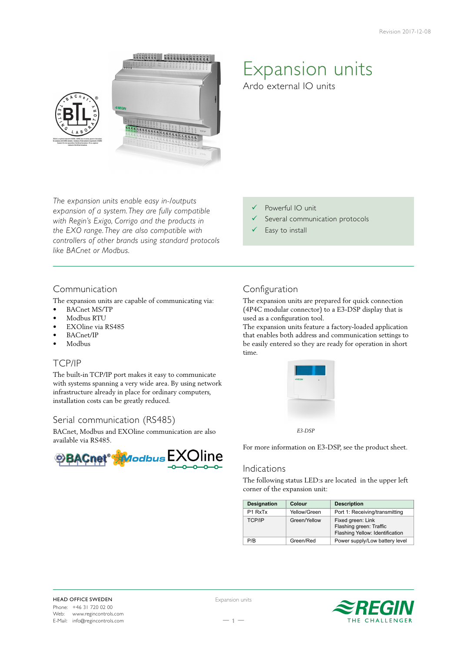

*The expansion units enable easy in-/outputs expansion of a system. They are fully compatible with Regin's Exigo, Corrigo and the products in the EXO range. They are also compatible with controllers of other brands using standard protocols like BACnet or Modbus.*

## Communication

The expansion units are capable of communicating via:

- BACnet MS/TP
- Modbus RTU
- EXOline via RS485
- BACnet/IP
- Modbus

# TCP/IP

The built-in TCP/IP port makes it easy to communicate with systems spanning a very wide area. By using network infrastructure already in place for ordinary computers, installation costs can be greatly reduced.

# Serial communication (RS485)

BACnet, Modbus and EXOline communication are also available via RS485.



# Expansion units

Ardo external IO units

- Powerful IO unit
- Several communication protocols
- Easy to install

# Configuration

The expansion units are prepared for quick connection (4P4C modular connector) to a E3-DSP display that is used as a configuration tool.

The expansion units feature a factory-loaded application that enables both address and communication settings to be easily entered so they are ready for operation in short time.



 *E3-DSP*

For more information on E3-DSP, see the product sheet.

### Indications

The following status LED:s are located in the upper left corner of the expansion unit:

| <b>Designation</b>              | Colour       | <b>Description</b>                                                              |
|---------------------------------|--------------|---------------------------------------------------------------------------------|
| P <sub>1</sub> RxT <sub>x</sub> | Yellow/Green | Port 1: Receiving/transmitting                                                  |
| <b>TCP/IP</b>                   | Green/Yellow | Fixed green: Link<br>Flashing green: Traffic<br>Flashing Yellow: Identification |
| P/R                             | Green/Red    | Power supply/Low battery level                                                  |



Expansion units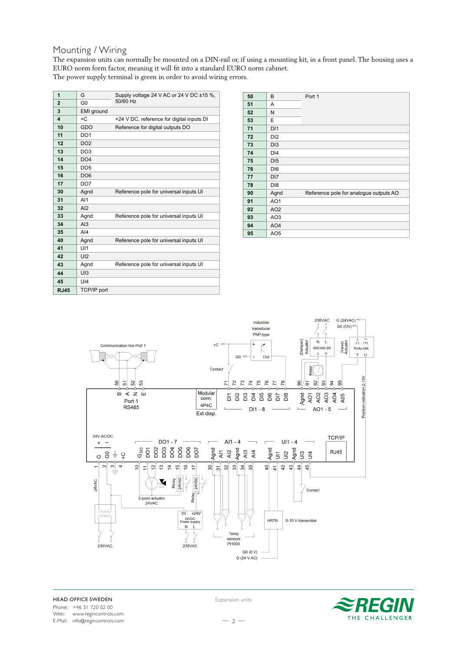## Mounting / Wiring

The expansion units can normally be mounted on a DIN-rail or, if using a mounting kit, in a front panel. The housing uses a EURO norm form factor, meaning it will fit into a standard EURO norm cabinet. The power supply terminal is green in order to avoid wiring errors.

| 1                       | G                  | Supply voltage 24 V AC or 24 V DC ±15 %,<br>50/60 Hz |  |
|-------------------------|--------------------|------------------------------------------------------|--|
| $\overline{2}$          | GO                 |                                                      |  |
| 3                       | EMI ground         |                                                      |  |
| $\overline{\mathbf{A}}$ | $+C$               | +24 V DC, reference for digital inputs DI            |  |
| 10                      | GDO                | Reference for digital outputs DO                     |  |
| 11                      | DO <sub>1</sub>    |                                                      |  |
| 12                      | DO <sub>2</sub>    |                                                      |  |
| 13                      | DO <sub>3</sub>    |                                                      |  |
| 14                      | DO <sub>4</sub>    |                                                      |  |
| 15                      | DO <sub>5</sub>    |                                                      |  |
| 16                      | DO <sub>6</sub>    |                                                      |  |
| 17                      | DO <sub>7</sub>    |                                                      |  |
| 30                      | Agnd               | Reference pole for universal inputs UI               |  |
| 31                      | AI1                |                                                      |  |
| 32                      | AI2                |                                                      |  |
| 33                      | Agnd               | Reference pole for universal inputs UI               |  |
| 34                      | A13                |                                                      |  |
| 35                      | $A$ <sub>14</sub>  |                                                      |  |
| 40                      | Agnd               | Reference pole for universal inputs UI               |  |
| 41                      | U11                |                                                      |  |
| 42                      | UI2                |                                                      |  |
| 43                      | Agnd               | Reference pole for universal inputs UI               |  |
| 44                      | U13                |                                                      |  |
| 45                      | UI4                |                                                      |  |
| <b>RJ45</b>             | <b>TCP/IP port</b> |                                                      |  |

| 50 | B               | Port 1                                 |
|----|-----------------|----------------------------------------|
| 51 | A               |                                        |
| 52 | N               |                                        |
| 53 | E               |                                        |
| 71 | DI1             |                                        |
| 72 | D <sub>12</sub> |                                        |
| 73 | D <sub>13</sub> |                                        |
| 74 | DI <sub>4</sub> |                                        |
| 75 | D <sub>15</sub> |                                        |
| 76 | DI <sub>6</sub> |                                        |
| 77 | DI <sub>7</sub> |                                        |
| 78 | D <sub>18</sub> |                                        |
| 90 | Agnd            | Reference pole for analogue outputs AO |
| 91 | AO <sub>1</sub> |                                        |
| 92 | AO <sub>2</sub> |                                        |
| 93 | AO <sub>3</sub> |                                        |
| 94 | AO <sub>4</sub> |                                        |
| 95 | AO <sub>5</sub> |                                        |



Expansion units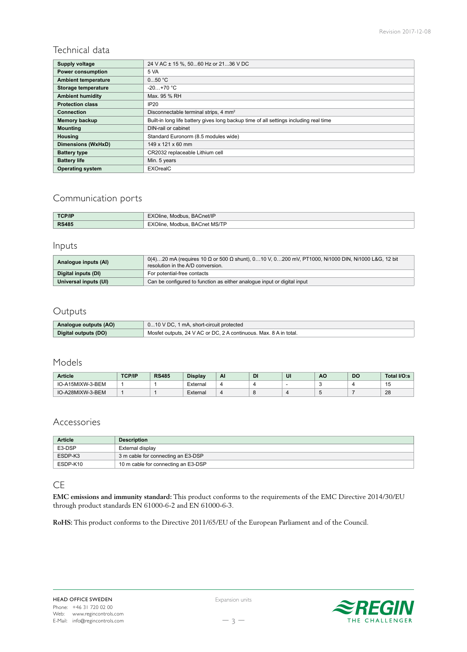# Technical data

| Supply voltage             | 24 V AC ± 15 %, 5060 Hz or 2136 V DC                                                  |
|----------------------------|---------------------------------------------------------------------------------------|
| <b>Power consumption</b>   | 5 VA                                                                                  |
| <b>Ambient temperature</b> | 050 °C                                                                                |
| Storage temperature        | $-20+70$ °C                                                                           |
| <b>Ambient humidity</b>    | Max. 95 % RH                                                                          |
| <b>Protection class</b>    | IP <sub>20</sub>                                                                      |
| <b>Connection</b>          | Disconnectable terminal strips, 4 mm <sup>2</sup>                                     |
| Memory backup              | Built-in long life battery gives long backup time of all settings including real time |
| <b>Mounting</b>            | DIN-rail or cabinet                                                                   |
| <b>Housing</b>             | Standard Euronorm (8.5 modules wide)                                                  |
| Dimensions (WxHxD)         | 149 x 121 x 60 mm                                                                     |
| <b>Battery type</b>        | CR2032 replaceable Lithium cell                                                       |
| <b>Battery life</b>        | Min. 5 years                                                                          |
| <b>Operating system</b>    | <b>EXOrealC</b>                                                                       |

# Communication ports

| <b>TCP/IP</b> | EXOline, Modbus, BACnet/IP         |
|---------------|------------------------------------|
| <b>RS485</b>  | . BACnet MS/TP<br>EXOline. Modbus. |

# Inputs

| Analogue inputs (AI)  | $0(4)$ 20 mA (requires 10 Ω or 500 Ω shunt), 010 V, 0200 mV, PT1000, Ni1000 DIN, Ni1000 L&G, 12 bit<br>resolution in the A/D conversion. |
|-----------------------|------------------------------------------------------------------------------------------------------------------------------------------|
| Digital inputs (DI)   | For potential-free contacts                                                                                                              |
| Universal inputs (UI) | Can be configured to function as either analogue input or digital input                                                                  |

# Outputs

| Analogue outputs (AO) | 010 V DC, 1 mA, short-circuit protected                           |  |
|-----------------------|-------------------------------------------------------------------|--|
| Digital outputs (DO)  | Mosfet outputs, 24 V AC or DC, 2 A continuous, Max, 8 A in total. |  |

# Models

| <b>Article</b>   | <b>TCP/IP</b> | <b>RS485</b> | <b>Display</b> | Al             | <b>DI</b> | u | AC | DC | Total I/O:s |
|------------------|---------------|--------------|----------------|----------------|-----------|---|----|----|-------------|
| IO-A15MIXW-3-BEM |               |              | External       |                |           |   |    |    | ື           |
| IO-A28MIXW-3-BEM |               |              | External       | $\overline{a}$ |           |   |    |    | 28          |

# Accessories

| <b>Article</b> | <b>Description</b>                  |
|----------------|-------------------------------------|
| E3-DSP         | External display                    |
| ESDP-K3        | 3 m cable for connecting an E3-DSP  |
| ESDP-K10       | 10 m cable for connecting an E3-DSP |

### CE

**EMC emissions and immunity standard:** This product conforms to the requirements of the EMC Directive 2014/30/EU through product standards EN 61000-6-2 and EN 61000-6-3.

**RoHS:** This product conforms to the Directive 2011/65/EU of the European Parliament and of the Council.